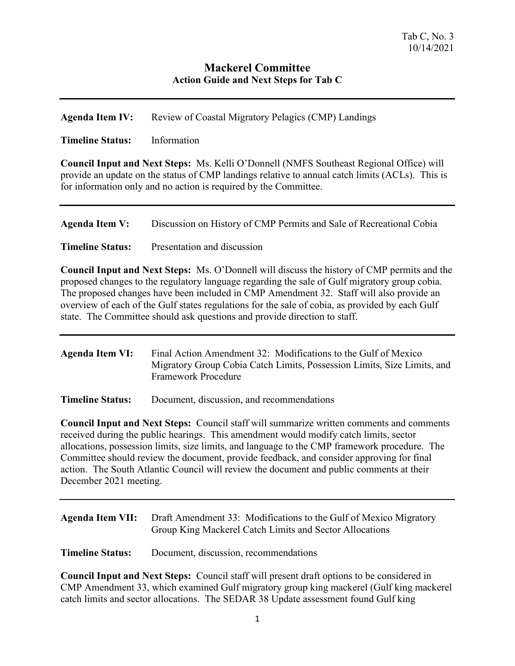## **Mackerel Committee Action Guide and Next Steps for Tab C**

**Agenda Item IV:** Review of Coastal Migratory Pelagics (CMP) Landings

**Timeline Status:** Information

**Council Input and Next Steps:** Ms. Kelli O'Donnell (NMFS Southeast Regional Office) will provide an update on the status of CMP landings relative to annual catch limits (ACLs). This is for information only and no action is required by the Committee.

**Agenda Item V:** Discussion on History of CMP Permits and Sale of Recreational Cobia

**Timeline Status:** Presentation and discussion

**Council Input and Next Steps:** Ms. O'Donnell will discuss the history of CMP permits and the proposed changes to the regulatory language regarding the sale of Gulf migratory group cobia. The proposed changes have been included in CMP Amendment 32. Staff will also provide an overview of each of the Gulf states regulations for the sale of cobia, as provided by each Gulf state. The Committee should ask questions and provide direction to staff.

| Agenda Item VI: | Final Action Amendment 32: Modifications to the Gulf of Mexico<br>Migratory Group Cobia Catch Limits, Possession Limits, Size Limits, and<br><b>Framework Procedure</b> |
|-----------------|-------------------------------------------------------------------------------------------------------------------------------------------------------------------------|
|                 |                                                                                                                                                                         |

**Timeline Status:** Document, discussion, and recommendations

**Council Input and Next Steps:** Council staff will summarize written comments and comments received during the public hearings. This amendment would modify catch limits, sector allocations, possession limits, size limits, and language to the CMP framework procedure. The Committee should review the document, provide feedback, and consider approving for final action. The South Atlantic Council will review the document and public comments at their December 2021 meeting.

| Agenda Item VII:        | Draft Amendment 33: Modifications to the Gulf of Mexico Migratory<br>Group King Mackerel Catch Limits and Sector Allocations |
|-------------------------|------------------------------------------------------------------------------------------------------------------------------|
| <b>Timeline Status:</b> | Document, discussion, recommendations                                                                                        |

**Council Input and Next Steps:** Council staff will present draft options to be considered in CMP Amendment 33, which examined Gulf migratory group king mackerel (Gulf king mackerel catch limits and sector allocations. The SEDAR 38 Update assessment found Gulf king